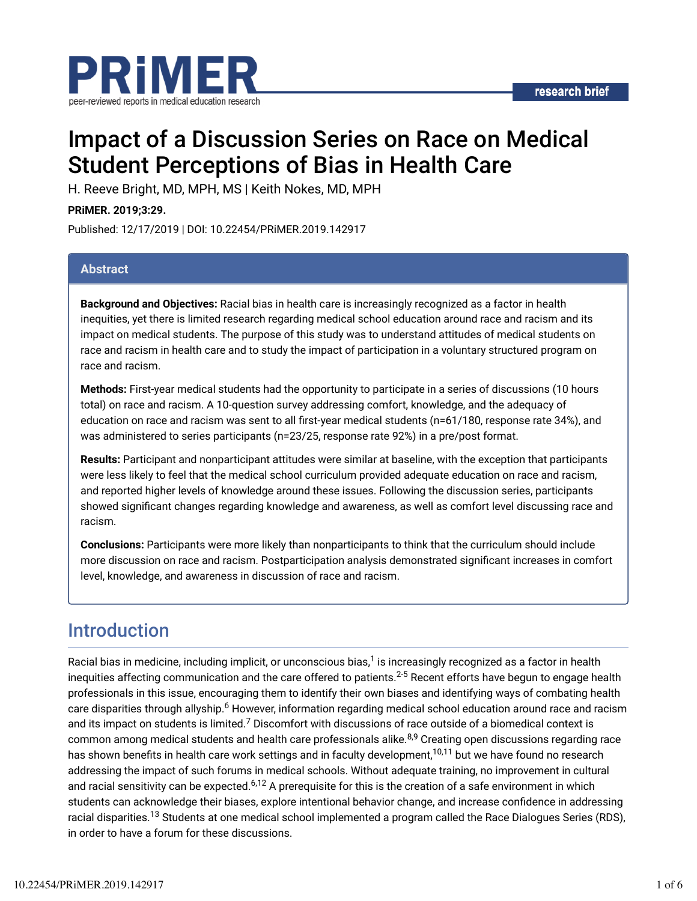



# Impact of a Discussion Series on Race on Medical Student Perceptions of Bias in Health Care

H. Reeve Bright, MD, MPH, MS | Keith Nokes, MD, MPH

**PRiMER. 2019;3:29.**

Published: 12/17/2019 | DOI: 10.22454/PRiMER.2019.142917

#### **Abstract**

**Background and Objectives:** Racial bias in health care is increasingly recognized as a factor in health inequities, yet there is limited research regarding medical school education around race and racism and its impact on medical students. The purpose of this study was to understand attitudes of medical students on race and racism in health care and to study the impact of participation in a voluntary structured program on race and racism.

**Methods:** First-year medical students had the opportunity to participate in a series of discussions (10 hours total) on race and racism. A 10-question survey addressing comfort, knowledge, and the adequacy of education on race and racism was sent to all first-year medical students (n=61/180, response rate 34%), and was administered to series participants (n=23/25, response rate 92%) in a pre/post format.

**Results:** Participant and nonparticipant attitudes were similar at baseline, with the exception that participants were less likely to feel that the medical school curriculum provided adequate education on race and racism, and reported higher levels of knowledge around these issues. Following the discussion series, participants showed significant changes regarding knowledge and awareness, as well as comfort level discussing race and racism.

**Conclusions:** Participants were more likely than nonparticipants to think that the curriculum should include more discussion on race and racism. Postparticipation analysis demonstrated significant increases in comfort level, knowledge, and awareness in discussion of race and racism.

### Introduction

Racial bias in medicine, including implicit, or unconscious bias, $^1$  is increasingly recognized as a factor in health inequities affecting communication and the care offered to patients.<sup>2-5</sup> Recent efforts have begun to engage health professionals in this issue, encouraging them to identify their own biases and identifying ways of combating health care disparities through allyship.<sup>6</sup> However, information regarding medical school education around race and racism and its impact on students is limited.<sup>7</sup> Discomfort with discussions of race outside of a biomedical context is common among medical students and health care professionals alike.<sup>8,9</sup> Creating open discussions regarding race has shown benefits in health care work settings and in faculty development,<sup>10,11</sup> but we have found no research addressing the impact of such forums in medical schools. Without adequate training, no improvement in cultural and racial sensitivity can be expected. $^{6,12}$  A prerequisite for this is the creation of a safe environment in which students can acknowledge their biases, explore intentional behavior change, and increase confidence in addressing racial disparities.<sup>13</sup> Students at one medical school implemented a program called the Race Dialogues Series (RDS), in order to have a forum for these discussions.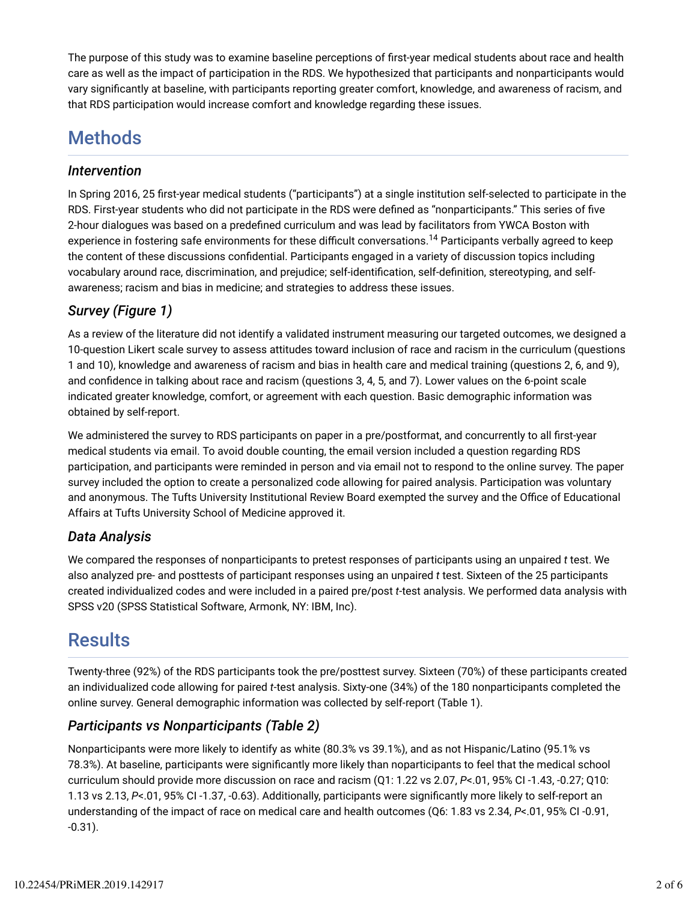The purpose of this study was to examine baseline perceptions of first-year medical students about race and health care as well as the impact of participation in the RDS. We hypothesized that participants and nonparticipants would vary significantly at baseline, with participants reporting greater comfort, knowledge, and awareness of racism, and that RDS participation would increase comfort and knowledge regarding these issues.

## **Methods**

#### *Intervention*

In Spring 2016, 25 first-year medical students ("participants") at a single institution self-selected to participate in the RDS. First-year students who did not participate in the RDS were defined as "nonparticipants." This series of five 2-hour dialogues was based on a predefined curriculum and was lead by facilitators from YWCA Boston with experience in fostering safe environments for these difficult conversations.<sup>14</sup> Participants verbally agreed to keep the content of these discussions confidential. Participants engaged in a variety of discussion topics including vocabulary around race, discrimination, and prejudice; self-identification, self-definition, stereotyping, and selfawareness; racism and bias in medicine; and strategies to address these issues.

### *Survey (Figure 1)*

As a review of the literature did not identify a validated instrument measuring our targeted outcomes, we designed a 10-question Likert scale survey to assess attitudes toward inclusion of race and racism in the curriculum (questions 1 and 10), knowledge and awareness of racism and bias in health care and medical training (questions 2, 6, and 9), and confidence in talking about race and racism (questions 3, 4, 5, and 7). Lower values on the 6-point scale indicated greater knowledge, comfort, or agreement with each question. Basic demographic information was obtained by self-report.

We administered the survey to RDS participants on paper in a pre/postformat, and concurrently to all first-year medical students via email. To avoid double counting, the email version included a question regarding RDS participation, and participants were reminded in person and via email not to respond to the online survey. The paper survey included the option to create a personalized code allowing for paired analysis. Participation was voluntary and anonymous. The Tufts University Institutional Review Board exempted the survey and the Office of Educational Affairs at Tufts University School of Medicine approved it.

### *Data Analysis*

We compared the responses of nonparticipants to pretest responses of participants using an unpaired *t* test. We also analyzed pre- and posttests of participant responses using an unpaired *t* test. Sixteen of the 25 participants created individualized codes and were included in a paired pre/post *t*-test analysis. We performed data analysis with SPSS v20 (SPSS Statistical Software, Armonk, NY: IBM, Inc).

## **Results**

Twenty-three (92%) of the RDS participants took the pre/posttest survey. Sixteen (70%) of these participants created an individualized code allowing for paired *t*-test analysis. Sixty-one (34%) of the 180 nonparticipants completed the online survey. General demographic information was collected by self-report (Table 1).

### *Participants vs Nonparticipants (Table 2)*

Nonparticipants were more likely to identify as white (80.3% vs 39.1%), and as not Hispanic/Latino (95.1% vs 78.3%). At baseline, participants were significantly more likely than noparticipants to feel that the medical school curriculum should provide more discussion on race and racism (Q1: 1.22 vs 2.07, *P*<.01, 95% CI -1.43, -0.27; Q10: 1.13 vs 2.13, P<.01, 95% CI -1.37, -0.63). Additionally, participants were significantly more likely to self-report an understanding of the impact of race on medical care and health outcomes (Q6: 1.83 vs 2.34, *P*<.01, 95% CI -0.91, -0.31).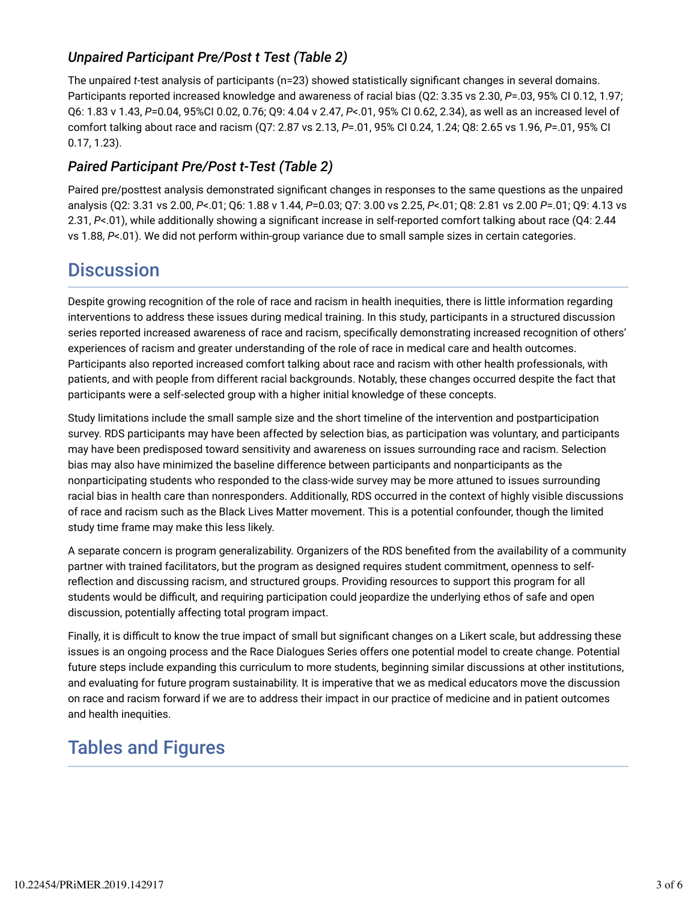### *Unpaired Participant Pre/Post t Test (Table 2)*

The unpaired *t*-test analysis of participants (n=23) showed statistically significant changes in several domains. Participants reported increased knowledge and awareness of racial bias (Q2: 3.35 vs 2.30, *P*=.03, 95% CI 0.12, 1.97; Q6: 1.83 v 1.43, *P*=0.04, 95%CI 0.02, 0.76; Q9: 4.04 v 2.47, *P*<.01, 95% CI 0.62, 2.34), as well as an increased level of comfort talking about race and racism (Q7: 2.87 vs 2.13, *P*=.01, 95% CI 0.24, 1.24; Q8: 2.65 vs 1.96, *P*=.01, 95% CI 0.17, 1.23).

### *Paired Participant Pre/Post t-Test (Table 2)*

Paired pre/posttest analysis demonstrated significant changes in responses to the same questions as the unpaired analysis (Q2: 3.31 vs 2.00, *P*<.01; Q6: 1.88 v 1.44, *P*=0.03; Q7: 3.00 vs 2.25, *P*<.01; Q8: 2.81 vs 2.00 *P*=.01; Q9: 4.13 vs 2.31, P<.01), while additionally showing a significant increase in self-reported comfort talking about race (Q4: 2.44 vs 1.88, *P*<.01). We did not perform within-group variance due to small sample sizes in certain categories.

## **Discussion**

Despite growing recognition of the role of race and racism in health inequities, there is little information regarding interventions to address these issues during medical training. In this study, participants in a structured discussion series reported increased awareness of race and racism, specifically demonstrating increased recognition of others' experiences of racism and greater understanding of the role of race in medical care and health outcomes. Participants also reported increased comfort talking about race and racism with other health professionals, with patients, and with people from different racial backgrounds. Notably, these changes occurred despite the fact that participants were a self-selected group with a higher initial knowledge of these concepts.

Study limitations include the small sample size and the short timeline of the intervention and postparticipation survey. RDS participants may have been affected by selection bias, as participation was voluntary, and participants may have been predisposed toward sensitivity and awareness on issues surrounding race and racism. Selection bias may also have minimized the baseline difference between participants and nonparticipants as the nonparticipating students who responded to the class-wide survey may be more attuned to issues surrounding racial bias in health care than nonresponders. Additionally, RDS occurred in the context of highly visible discussions of race and racism such as the Black Lives Matter movement. This is a potential confounder, though the limited study time frame may make this less likely.

A separate concern is program generalizability. Organizers of the RDS benefited from the availability of a community partner with trained facilitators, but the program as designed requires student commitment, openness to selfreflection and discussing racism, and structured groups. Providing resources to support this program for all students would be difficult, and requiring participation could jeopardize the underlying ethos of safe and open discussion, potentially affecting total program impact.

Finally, it is difficult to know the true impact of small but significant changes on a Likert scale, but addressing these issues is an ongoing process and the Race Dialogues Series offers one potential model to create change. Potential future steps include expanding this curriculum to more students, beginning similar discussions at other institutions, and evaluating for future program sustainability. It is imperative that we as medical educators move the discussion on race and racism forward if we are to address their impact in our practice of medicine and in patient outcomes and health inequities.

## Tables and Figures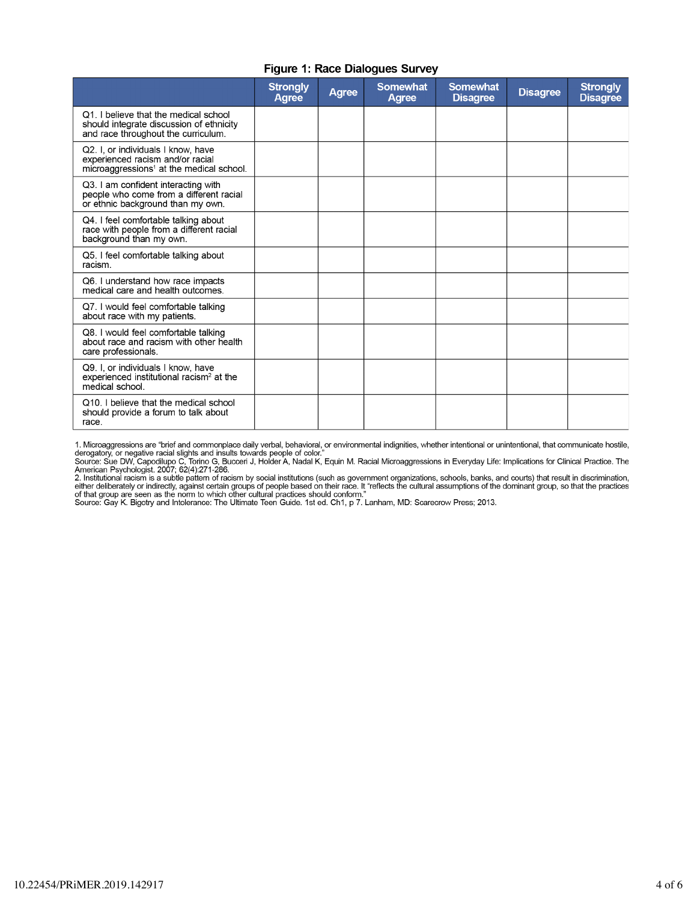|                                                                                                                                | <b>Strongly</b><br><b>Agree</b> | <b>Agree</b> | <b>Somewhat</b><br>Agree | <b>Somewhat</b><br><b>Disagree</b> | <b>Disagree</b> | <b>Strongly</b><br><b>Disagree</b> |
|--------------------------------------------------------------------------------------------------------------------------------|---------------------------------|--------------|--------------------------|------------------------------------|-----------------|------------------------------------|
| Q1. I believe that the medical school<br>should integrate discussion of ethnicity<br>and race throughout the curriculum.       |                                 |              |                          |                                    |                 |                                    |
| Q2. I, or individuals I know, have<br>experienced racism and/or racial<br>microaggressions <sup>1</sup> at the medical school. |                                 |              |                          |                                    |                 |                                    |
| Q3. I am confident interacting with<br>people who come from a different racial<br>or ethnic background than my own.            |                                 |              |                          |                                    |                 |                                    |
| Q4. I feel comfortable talking about<br>race with people from a different racial<br>background than my own.                    |                                 |              |                          |                                    |                 |                                    |
| Q5. I feel comfortable talking about<br>racism.                                                                                |                                 |              |                          |                                    |                 |                                    |
| Q6. I understand how race impacts<br>medical care and health outcomes.                                                         |                                 |              |                          |                                    |                 |                                    |
| Q7. I would feel comfortable talking<br>about race with my patients.                                                           |                                 |              |                          |                                    |                 |                                    |
| Q8. I would feel comfortable talking<br>about race and racism with other health<br>care professionals.                         |                                 |              |                          |                                    |                 |                                    |
| Q9. I, or individuals I know, have<br>experienced institutional racism <sup>2</sup> at the<br>medical school.                  |                                 |              |                          |                                    |                 |                                    |
| Q10. I believe that the medical school<br>should provide a forum to talk about<br>race.                                        |                                 |              |                          |                                    |                 |                                    |

#### **Figure 1: Race Dialogues Survey**

1. Microaggressions are "brief and commonplace daily verbal, behavioral, or environmental indignities, whether intentional or unintentional, that communicate hostile, derogatory, or negative racial slights and insults towa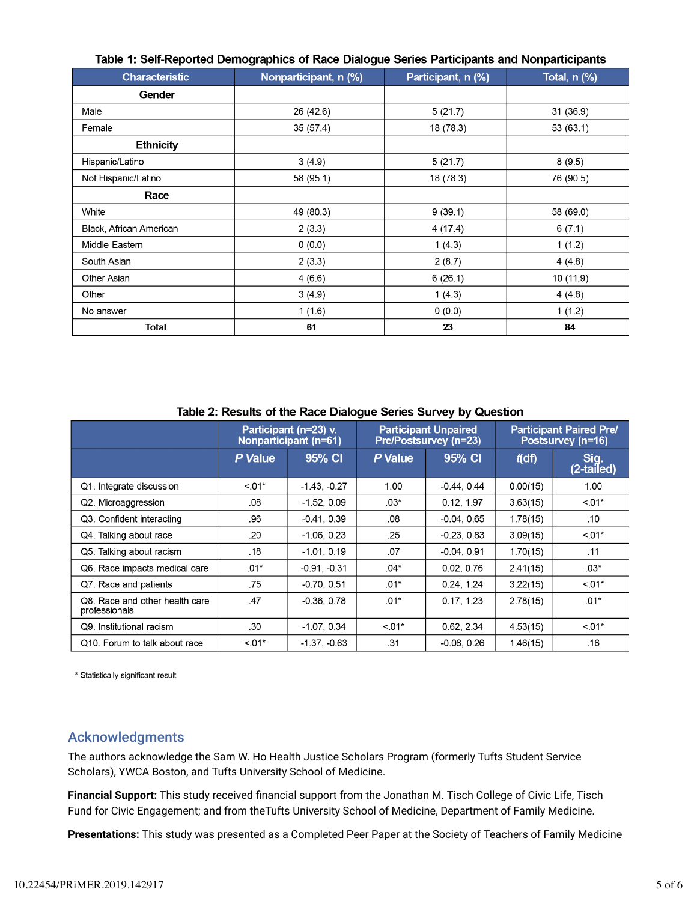| <b>Characteristic</b>   | Nonparticipant, n (%) | Participant, n (%) | Total, n (%) |  |
|-------------------------|-----------------------|--------------------|--------------|--|
| Gender                  |                       |                    |              |  |
| Male                    | 26 (42.6)             | 5(21.7)            | 31 (36.9)    |  |
| Female                  | 35(57.4)              | 18 (78.3)          | 53(63.1)     |  |
| <b>Ethnicity</b>        |                       |                    |              |  |
| Hispanic/Latino         | 3(4.9)                | 5(21.7)            | 8(9.5)       |  |
| Not Hispanic/Latino     | 58 (95.1)             | 18 (78.3)          | 76 (90.5)    |  |
| Race                    |                       |                    |              |  |
| White                   | 49 (80.3)             | 9(39.1)            | 58 (69.0)    |  |
| Black, African American | 2(3.3)                | 4(17.4)            | 6(7.1)       |  |
| Middle Eastern          | 0(0.0)                | 1(4.3)             | 1(1.2)       |  |
| South Asian             | 2(3.3)                | 2(8.7)             | 4(4.8)       |  |
| Other Asian             | 4(6.6)                | 6(26.1)            | 10 (11.9)    |  |
| Other                   | 3(4.9)                | 1(4.3)             | 4(4.8)       |  |
| No answer               | 1(1.6)                | 0(0.0)             | 1(1.2)       |  |
| <b>Total</b>            | 61                    | 23                 | 84           |  |

#### Table 1: Self-Reported Demographics of Race Dialogue Series Participants and Nonparticipants

Table 2: Results of the Race Dialogue Series Survey by Question

|                                                 | Participant (n=23) v.<br>Nonparticipant (n=61) |                | <b>Participant Unpaired</b><br>Pre/Postsurvey (n=23) |               | <b>Participant Paired Pre/</b><br>Postsurvey (n=16) |                    |
|-------------------------------------------------|------------------------------------------------|----------------|------------------------------------------------------|---------------|-----------------------------------------------------|--------------------|
|                                                 | P Value                                        | 95% CI         | P Value                                              | 95% CI        | $t$ (df)                                            | Sig.<br>(2-tailed) |
| Q1. Integrate discussion                        | $< 01*$                                        | $-143, -0.27$  | 1.00                                                 | $-0.44, 0.44$ | 0.00(15)                                            | 1.00               |
| Q2 Microaggression                              | .08                                            | $-1.52.0.09$   | $.03*$                                               | 0.12, 1.97    | 3.63(15)                                            | $< 01*$            |
| Q3. Confident interacting                       | .96                                            | $-0.41, 0.39$  | .08                                                  | $-0.04.0.65$  | 1.78(15)                                            | .10                |
| Q4. Talking about race                          | .20                                            | $-1.06.0.23$   | .25                                                  | $-0.23, 0.83$ | 3.09(15)                                            | $< 01*$            |
| Q5. Talking about racism                        | .18                                            | $-1.01, 0.19$  | .07                                                  | $-0.04, 0.91$ | 1.70(15)                                            | .11                |
| Q6. Race impacts medical care                   | $.01*$                                         | $-0.91, -0.31$ | $.04*$                                               | 0.02, 0.76    | 2.41(15)                                            | $.03*$             |
| Q7. Race and patients                           | .75                                            | $-0.70, 0.51$  | $.01*$                                               | 0.24, 1.24    | 3.22(15)                                            | $< 01*$            |
| Q8. Race and other health care<br>professionals | .47                                            | $-0.36, 0.78$  | $.01*$                                               | 0.17, 1.23    | 2.78(15)                                            | $.01*$             |
| Q9. Institutional racism                        | .30                                            | $-1.07, 0.34$  | $< 01*$                                              | 0.62, 2.34    | 4.53(15)                                            | $< 01*$            |
| Q10. Forum to talk about race                   | $< 01*$                                        | $-1.37, -0.63$ | .31                                                  | $-0.08, 0.26$ | 1.46(15)                                            | .16                |

\* Statistically significant result

#### Acknowledgments

The authors acknowledge the Sam W. Ho Health Justice Scholars Program (formerly Tufts Student Service Scholars), YWCA Boston, and Tufts University School of Medicine.

Financial Support: This study received financial support from the Jonathan M. Tisch College of Civic Life, Tisch Fund for Civic Engagement; and from theTufts University School of Medicine, Department of Family Medicine.

**Presentations:** This study was presented as a Completed Peer Paper at the Society of Teachers of Family Medicine